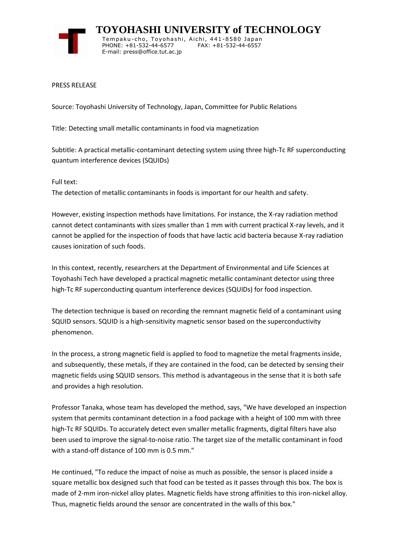

 **TOYOHASHI UNIVERSITY of TECHNOLOGY** Tempaku-cho, Toyohashi, Aichi, 441-8580 Japan PHONE: +81-532-44-6577 FAX: +81-532-44-6557 E-mail: press@office.tut.ac.jp

PRESS RELEASE

Source: Toyohashi University of Technology, Japan, Committee for Public Relations

Title: Detecting small metallic contaminants in food via magnetization

Subtitle: A practical metallic-contaminant detecting system using three high-Tc RF superconducting quantum interference devices (SQUIDs)

Full text:

The detection of metallic contaminants in foods is important for our health and safety.

However, existing inspection methods have limitations. For instance, the X-ray radiation method cannot detect contaminants with sizes smaller than 1 mm with current practical X-ray levels, and it cannot be applied for the inspection of foods that have lactic acid bacteria because X-ray radiation causes ionization of such foods.

In this context, recently, researchers at the Department of Environmental and Life Sciences at Toyohashi Tech have developed a practical magnetic metallic contaminant detector using three high-Tc RF superconducting quantum interference devices (SQUIDs) for food inspection.

The detection technique is based on recording the remnant magnetic field of a contaminant using SQUID sensors. SQUID is a high-sensitivity magnetic sensor based on the superconductivity phenomenon.

In the process, a strong magnetic field is applied to food to magnetize the metal fragments inside, and subsequently, these metals, if they are contained in the food, can be detected by sensing their magnetic fields using SQUID sensors. This method is advantageous in the sense that it is both safe and provides a high resolution.

Professor Tanaka, whose team has developed the method, says, "We have developed an inspection system that permits contaminant detection in a food package with a height of 100 mm with three high-Tc RF SQUIDs. To accurately detect even smaller metallic fragments, digital filters have also been used to improve the signal-to-noise ratio. The target size of the metallic contaminant in food with a stand-off distance of 100 mm is 0.5 mm."

He continued, "To reduce the impact of noise as much as possible, the sensor is placed inside a square metallic box designed such that food can be tested as it passes through this box. The box is made of 2-mm iron-nickel alloy plates. Magnetic fields have strong affinities to this iron-nickel alloy. Thus, magnetic fields around the sensor are concentrated in the walls of this box."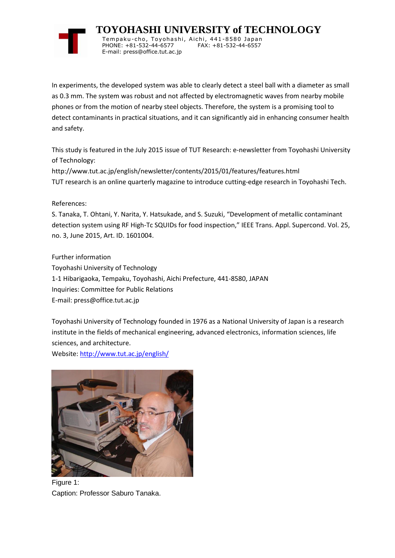

 **TOYOHASHI UNIVERSITY of TECHNOLOGY** Tempaku-cho, Toyohashi, Aichi, 441-8580 Japan PHONE: +81-532-44-6577 FAX: +81-532-44-6557

In experiments, the developed system was able to clearly detect a steel ball with a diameter as small as 0.3 mm. The system was robust and not affected by electromagnetic waves from nearby mobile phones or from the motion of nearby steel objects. Therefore, the system is a promising tool to detect contaminants in practical situations, and it can significantly aid in enhancing consumer health and safety.

This study is featured in the July 2015 issue of TUT Research: e-newsletter from Toyohashi University of Technology:

http://www.tut.ac.jp/english/newsletter/contents/2015/01/features/features.html TUT research is an online quarterly magazine to introduce cutting-edge research in Toyohashi Tech.

References:

S. Tanaka, T. Ohtani, Y. Narita, Y. Hatsukade, and S. Suzuki, "Development of metallic contaminant detection system using RF High-Tc SQUIDs for food inspection," IEEE Trans. Appl. Supercond. Vol. 25, no. 3, June 2015, Art. ID. 1601004.

Further information Toyohashi University of Technology 1-1 Hibarigaoka, Tempaku, Toyohashi, Aichi Prefecture, 441-8580, JAPAN Inquiries: Committee for Public Relations E-mail: press@office.tut.ac.jp

E-mail: press@office.tut.ac.jp

Toyohashi University of Technology founded in 1976 as a National University of Japan is a research institute in the fields of mechanical engineering, advanced electronics, information sciences, life sciences, and architecture.

Website[: http://www.tut.ac.jp/english/](https://www.tut.ac.jp/english/)



Figure 1: Caption: Professor Saburo Tanaka.